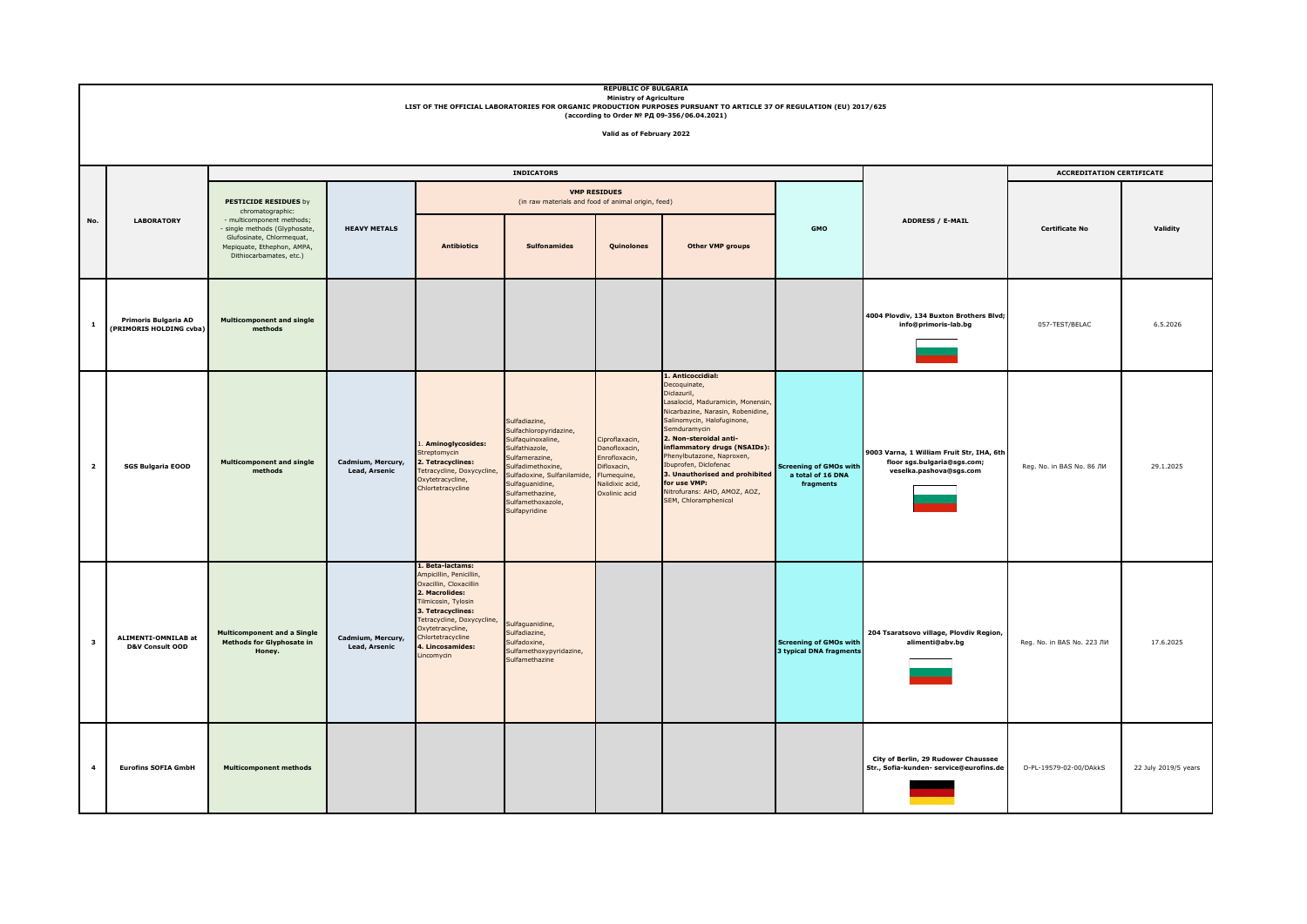|                         | <b>REPUBLIC OF BULGARIA</b><br><b>Ministry of Agriculture</b><br>LIST OF THE OFFICIAL LABORATORIES FOR ORGANIC PRODUCTION PURPOSES PURSUANT TO ARTICLE 37 OF REGULATION (EU) 2017/625<br>(according to Order № РД 09-356/06.04.2021)<br>Valid as of February 2022 |                                                                                                                                                                                                      |                                    |                                                                                                                                                                                                                                                          |                                                                                                                                                                                                                                  |                                                                                                                    |                                                                                                                                                                                                                                                                                                                                                                                                   |                                                                 |                                                                                                     |                                  |                      |
|-------------------------|-------------------------------------------------------------------------------------------------------------------------------------------------------------------------------------------------------------------------------------------------------------------|------------------------------------------------------------------------------------------------------------------------------------------------------------------------------------------------------|------------------------------------|----------------------------------------------------------------------------------------------------------------------------------------------------------------------------------------------------------------------------------------------------------|----------------------------------------------------------------------------------------------------------------------------------------------------------------------------------------------------------------------------------|--------------------------------------------------------------------------------------------------------------------|---------------------------------------------------------------------------------------------------------------------------------------------------------------------------------------------------------------------------------------------------------------------------------------------------------------------------------------------------------------------------------------------------|-----------------------------------------------------------------|-----------------------------------------------------------------------------------------------------|----------------------------------|----------------------|
|                         |                                                                                                                                                                                                                                                                   |                                                                                                                                                                                                      |                                    |                                                                                                                                                                                                                                                          |                                                                                                                                                                                                                                  |                                                                                                                    |                                                                                                                                                                                                                                                                                                                                                                                                   |                                                                 |                                                                                                     |                                  |                      |
|                         |                                                                                                                                                                                                                                                                   | <b>INDICATORS</b>                                                                                                                                                                                    |                                    |                                                                                                                                                                                                                                                          |                                                                                                                                                                                                                                  |                                                                                                                    |                                                                                                                                                                                                                                                                                                                                                                                                   |                                                                 |                                                                                                     | <b>ACCREDITATION CERTIFICATE</b> |                      |
|                         | <b>LABORATORY</b>                                                                                                                                                                                                                                                 | <b>PESTICIDE RESIDUES by</b><br>chromatographic:<br>- multicomponent methods;<br>- single methods (Glyphosate,<br>Glufosinate, Chlormequat,<br>Mepiquate, Ethephon, AMPA,<br>Dithiocarbamates, etc.) | <b>HEAVY METALS</b>                |                                                                                                                                                                                                                                                          | (in raw materials and food of animal origin, feed)                                                                                                                                                                               | <b>VMP RESIDUES</b>                                                                                                |                                                                                                                                                                                                                                                                                                                                                                                                   | <b>GMO</b>                                                      | <b>ADDRESS / E-MAIL</b>                                                                             | Certificate No                   | Validity             |
| No.                     |                                                                                                                                                                                                                                                                   |                                                                                                                                                                                                      |                                    | <b>Antibiotics</b>                                                                                                                                                                                                                                       | <b>Sulfonamides</b>                                                                                                                                                                                                              | Quinolones                                                                                                         | Other VMP groups                                                                                                                                                                                                                                                                                                                                                                                  |                                                                 |                                                                                                     |                                  |                      |
| $\mathbf 1$             | Primoris Bulgaria AD<br>(PRIMORIS HOLDING cvba)                                                                                                                                                                                                                   | <b>Multicomponent and single</b><br>methods                                                                                                                                                          |                                    |                                                                                                                                                                                                                                                          |                                                                                                                                                                                                                                  |                                                                                                                    |                                                                                                                                                                                                                                                                                                                                                                                                   |                                                                 | 4004 Plovdiv, 134 Buxton Brothers Blvd;<br>info@primoris-lab.bg                                     | 057-TEST/BELAC                   | 6.5.2026             |
| $\overline{\mathbf{2}}$ | <b>SGS Bulgaria EOOD</b>                                                                                                                                                                                                                                          | <b>Multicomponent and single</b><br>methods                                                                                                                                                          | Cadmium, Mercury,<br>Lead, Arsenic | . Aminoglycosides:<br>streptomycin<br>. Tetracyclines:<br>Tetracycline, Doxycycline,<br>Oxytetracycline,<br>Chlortetracycline                                                                                                                            | Sulfadiazine,<br>Sulfachloropyridazine,<br>Sulfaquinoxaline,<br>Sulfathiazole,<br>Sulfamerazine,<br>Sulfadimethoxine,<br>Sulfadoxine, Sulfanilamide,<br>Sulfaguanidine,<br>Sulfamethazine,<br>Sulfamethoxazole,<br>Sulfapyridine | Ciproflaxacin,<br>Danofloxacin,<br>Enrofloxacin,<br>Difloxacin,<br>Flumequine,<br>Nalidixic acid,<br>Oxolinic acid | 1. Anticoccidial:<br>Decoquinate,<br>Diclazuril,<br>Lasalocid, Maduramicin, Monensin<br>Nicarbazine, Narasin, Robenidine,<br>Salinomycin, Halofuginone,<br>Semduramycin<br>2. Non-steroidal anti-<br>inflammatory drugs (NSAIDs):<br>Phenylbutazone, Naproxen,<br>Ibuprofen, Diclofenac<br>3. Unauthorised and prohibited<br>for use VMP:<br>Nitrofurans: AHD, AMOZ, AOZ,<br>SEM, Chloramphenicol | <b>Screening of GMOs with</b><br>a total of 16 DNA<br>fragments | 9003 Varna, 1 William Fruit Str, IHA, 6th<br>floor sgs.bulgaria@sgs.com;<br>veselka.pashova@sgs.com | Reg. No. in BAS No. 86 ЛИ        | 29.1.2025            |
| $\overline{\mathbf{3}}$ | ALIMENTI-OMNILAB at<br>D&V Consult OOD                                                                                                                                                                                                                            | <b>Multicomponent and a Single</b><br><b>Methods for Glyphosate in</b><br>Honey.                                                                                                                     | Cadmium, Mercury,<br>Lead, Arsenic | 1. Beta-lactams:<br>Ampicillin, Penicillin,<br>Oxacillin, Cloxacillin<br>2. Macrolides:<br><b>Filmicosin, Tylosin</b><br>3. Tetracyclines:<br>Tetracycline, Doxycycline,<br>Oxytetracycline,<br>Chlortetracycline<br>. Lincosamides:<br><i>incomycin</i> | Sulfaquanidine,<br>Sulfadiazine,<br>Sulfadoxine,<br>Sulfamethoxypyridazine,<br>Sulfamethazine                                                                                                                                    |                                                                                                                    |                                                                                                                                                                                                                                                                                                                                                                                                   | <b>Screening of GMOs with</b><br><b>3 typical DNA fragments</b> | 204 Tsaratsovo village, Plovdiv Region,<br>alimenti@abv.bg                                          | Req. No. in BAS No. 223 ЛИ       | 17.6.2025            |
| $\overline{4}$          | <b>Eurofins SOFIA GmbH</b>                                                                                                                                                                                                                                        | <b>Multicomponent methods</b>                                                                                                                                                                        |                                    |                                                                                                                                                                                                                                                          |                                                                                                                                                                                                                                  |                                                                                                                    |                                                                                                                                                                                                                                                                                                                                                                                                   |                                                                 | City of Berlin, 29 Rudower Chaussee<br>Str., Sofia-kunden- service@eurofins.de                      | D-PL-19579-02-00/DAkkS           | 22 July 2019/5 years |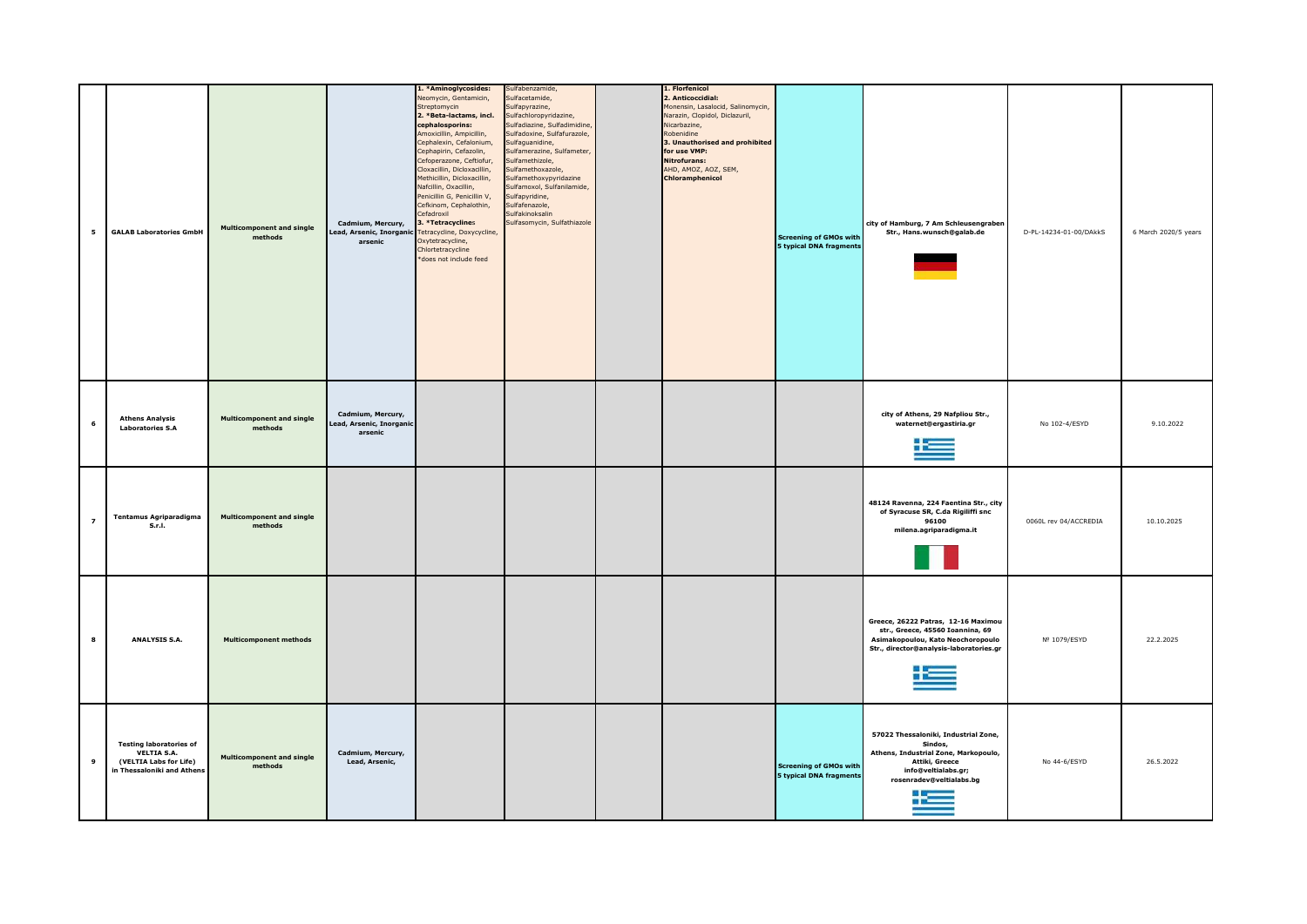| 5 | <b>GALAB Laboratories GmbH</b>                                                                               | <b>Multicomponent and single</b><br>methods | Cadmium, Mercury,<br>ead, Arsenic, Inorganic<br>arsenic | 1. *Aminoglycosides:<br>Veomycin, Gentamicin,<br>Streptomycin<br>2. *Beta-lactams, incl.<br>cephalosporins:<br>Amoxicillin, Ampicillin,<br>Cephalexin, Cefalonium,<br>Cephapirin, Cefazolin,<br>Cefoperazone, Ceftiofur,<br>Cloxacillin, Dicloxacillin,<br>Methicillin, Dicloxacillin,<br>Nafcillin, Oxacillin,<br>Penicillin G, Penicillin V,<br>Cefkinom, Cephalothin,<br>Cefadroxil<br>3. *Tetracyclines<br>Tetracycline, Doxycycline,<br>Oxytetracycline,<br>Chlortetracycline<br>*does not include feed | Sulfabenzamide,<br>sulfacetamide,<br>Sulfapyrazine,<br>Sulfachloropyridazine,<br>Sulfadiazine, Sulfadimidine,<br>Sulfadoxine, Sulfafurazole,<br>Sulfaguanidine,<br>Sulfamerazine, Sulfameter,<br>Sulfamethizole,<br>Sulfamethoxazole,<br>Sulfamethoxypyridazine<br>Sulfamoxol, Sulfanilamide,<br>Sulfapyridine,<br>Sulfafenazole,<br>Sulfakinoksalin<br>Sulfasomycin, Sulfathiazole | 1. Florfenicol<br>2. Anticoccidial:<br>Monensin, Lasalocid, Salinomycin,<br>Narazin, Clopidol, Diclazuril,<br>Nicarbazine,<br>Robenidine<br>3. Unauthorised and prohibited<br>for use VMP:<br><b>Nitrofurans:</b><br>AHD, AMOZ, AOZ, SEM,<br>Chloramphenicol | <b>Screening of GMOs with</b><br>5 typical DNA fragments        | city of Hamburg, 7 Am Schleusengraber<br>Str., Hans.wunsch@galab.de                                                                                                  | D-PL-14234-01-00/DAkkS | 6 March 2020/5 years |
|---|--------------------------------------------------------------------------------------------------------------|---------------------------------------------|---------------------------------------------------------|--------------------------------------------------------------------------------------------------------------------------------------------------------------------------------------------------------------------------------------------------------------------------------------------------------------------------------------------------------------------------------------------------------------------------------------------------------------------------------------------------------------|-------------------------------------------------------------------------------------------------------------------------------------------------------------------------------------------------------------------------------------------------------------------------------------------------------------------------------------------------------------------------------------|--------------------------------------------------------------------------------------------------------------------------------------------------------------------------------------------------------------------------------------------------------------|-----------------------------------------------------------------|----------------------------------------------------------------------------------------------------------------------------------------------------------------------|------------------------|----------------------|
|   | <b>Athens Analysis</b><br><b>Laboratories S.A</b>                                                            | <b>Multicomponent and single</b><br>methods | Cadmium, Mercury,<br>ead, Arsenic, Inorganic<br>arsenic |                                                                                                                                                                                                                                                                                                                                                                                                                                                                                                              |                                                                                                                                                                                                                                                                                                                                                                                     |                                                                                                                                                                                                                                                              |                                                                 | city of Athens, 29 Nafpliou Str.,<br>waternet@ergastiria.gr                                                                                                          | No 102-4/ESYD          | 9.10.2022            |
| 7 | <b>Tentamus Agriparadigma</b><br>S.r.I.                                                                      | <b>Multicomponent and single</b><br>methods |                                                         |                                                                                                                                                                                                                                                                                                                                                                                                                                                                                                              |                                                                                                                                                                                                                                                                                                                                                                                     |                                                                                                                                                                                                                                                              |                                                                 | 48124 Ravenna, 224 Faentina Str., city<br>of Syracuse SR, C.da Rigiliffi snc<br>96100<br>milena.agriparadigma.it                                                     | 0060L rev 04/ACCREDIA  | 10.10.2025           |
| 8 | ANALYSIS S.A.                                                                                                | <b>Multicomponent methods</b>               |                                                         |                                                                                                                                                                                                                                                                                                                                                                                                                                                                                                              |                                                                                                                                                                                                                                                                                                                                                                                     |                                                                                                                                                                                                                                                              |                                                                 | Greece, 26222 Patras, 12-16 Maximou<br>str., Greece, 45560 Ioannina, 69<br>Asimakopoulou, Kato Neochoropoulo<br>Str., director@analysis-laboratories.gr<br>صنا       | Nº 1079/ESYD           | 22.2.2025            |
| 9 | <b>Testing laboratories of</b><br><b>VELTIA S.A.</b><br>(VELTIA Labs for Life)<br>in Thessaloniki and Athens | <b>Multicomponent and single</b><br>methods | Cadmium, Mercury,<br>Lead, Arsenic,                     |                                                                                                                                                                                                                                                                                                                                                                                                                                                                                                              |                                                                                                                                                                                                                                                                                                                                                                                     |                                                                                                                                                                                                                                                              | <b>Screening of GMOs with</b><br><b>5 typical DNA fragments</b> | 57022 Thessaloniki, Industrial Zone,<br>Sindos,<br>Athens, Industrial Zone, Markopoulo,<br>Attiki, Greece<br>info@veltialabs.gr;<br>rosenradev@veltialabs.bg<br>i Em | No 44-6/ESYD           | 26.5.2022            |